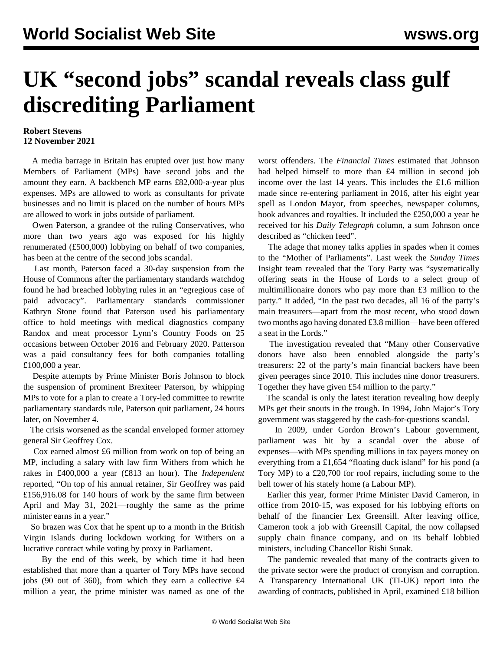## **UK "second jobs" scandal reveals class gulf discrediting Parliament**

## **Robert Stevens 12 November 2021**

 A media barrage in Britain has erupted over just how many Members of Parliament (MPs) have second jobs and the amount they earn. A backbench MP earns £82,000-a-year plus expenses. MPs are allowed to work as consultants for private businesses and no limit is placed on the number of hours MPs are allowed to work in jobs outside of parliament.

 Owen Paterson, a grandee of the ruling Conservatives, who more than two years ago was exposed for his highly renumerated (£500,000) lobbying on behalf of two companies, has been at the centre of the second jobs scandal.

 Last month, Paterson faced a 30-day suspension from the House of Commons after the parliamentary standards watchdog found he had breached lobbying rules in an "egregious case of paid advocacy". Parliamentary standards commissioner Kathryn Stone found that Paterson used his parliamentary office to hold meetings with medical diagnostics company Randox and meat processor Lynn's Country Foods on 25 occasions between October 2016 and February 2020. Patterson was a paid consultancy fees for both companies totalling £100,000 a year.

 Despite attempts by Prime Minister Boris Johnson to block the suspension of prominent Brexiteer Paterson, by whipping MPs to vote for a plan to create a Tory-led committee to rewrite parliamentary standards rule, Paterson quit parliament, 24 hours later, on November 4.

 The crisis worsened as the scandal enveloped former attorney general Sir Geoffrey Cox.

 Cox earned almost £6 million from work on top of being an MP, including a salary with law firm Withers from which he rakes in £400,000 a year (£813 an hour). The *Independent* reported, "On top of his annual retainer, Sir Geoffrey was paid £156,916.08 for 140 hours of work by the same firm between April and May 31, 2021—roughly the same as the prime minister earns in a year."

 So brazen was Cox that he spent up to a month in the British Virgin Islands during lockdown working for Withers on a lucrative contract while voting by proxy in Parliament.

 By the end of this week, by which time it had been established that more than a quarter of Tory MPs have second jobs (90 out of 360), from which they earn a collective £4 million a year, the prime minister was named as one of the worst offenders. The *Financial Times* estimated that Johnson had helped himself to more than £4 million in second job income over the last 14 years. This includes the £1.6 million made since re-entering parliament in 2016, after his eight year spell as London Mayor, from speeches, newspaper columns, book advances and royalties. It included the £250,000 a year he received for his *Daily Telegraph* column, a sum Johnson once described as "chicken feed".

 The adage that money talks applies in spades when it comes to the "Mother of Parliaments". Last week the *Sunday Times* Insight team revealed that the Tory Party was "systematically offering seats in the House of Lords to a select group of multimillionaire donors who pay more than £3 million to the party." It added, "In the past two decades, all 16 of the party's main treasurers—apart from the most recent, who stood down two months ago having donated £3.8 million—have been offered a seat in the Lords."

 The investigation revealed that "Many other Conservative donors have also been ennobled alongside the party's treasurers: 22 of the party's main financial backers have been given peerages since 2010. This includes nine donor treasurers. Together they have given £54 million to the party."

 The scandal is only the latest iteration revealing how deeply MPs get their snouts in the trough. In 1994, John Major's Tory government was staggered by the cash-for-questions scandal.

 In 2009, under Gordon Brown's Labour government, parliament was hit by a scandal over the abuse of expenses—with MPs spending millions in tax payers money on everything from a £1,654 "floating duck island" for his pond (a Tory MP) to a £20,700 for roof repairs, including some to the bell tower of his stately home (a Labour MP).

 Earlier this year, former Prime Minister David Cameron, in office from 2010-15, was exposed for his lobbying efforts on behalf of the financier Lex Greensill. After leaving office, Cameron took a job with Greensill Capital, the now collapsed supply chain finance company, and on its behalf lobbied ministers, including Chancellor Rishi Sunak.

 The pandemic revealed that many of the contracts given to the private sector were the product of cronyism and corruption. A Transparency International UK (TI-UK) report into the awarding of contracts, published in April, examined £18 billion